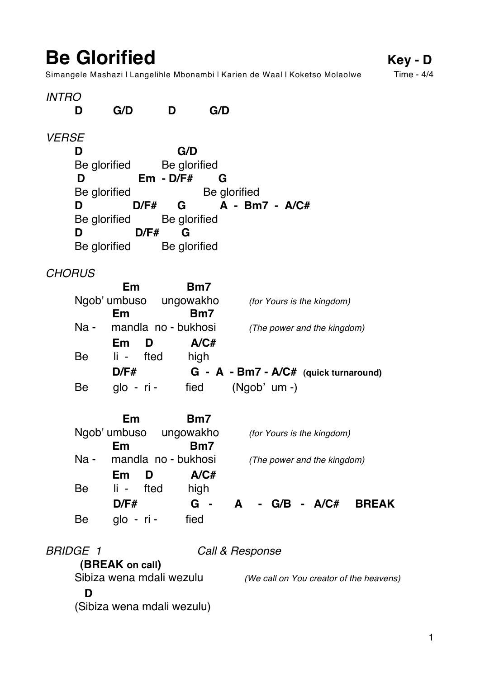**Be Glorified** Key - **D**<br>Simangele Mashazi I Langelihle Mbonambi I Karien de Waal I Koketso Molaolwe Time - 4/4 Simangele Mashazi | Langelihle Mbonambi | Karien de Waal | Koketso Molaolwe

| <b>INTRO</b>  |                 |                                      |              |         |                                                      |
|---------------|-----------------|--------------------------------------|--------------|---------|------------------------------------------------------|
|               | D               | G/D                                  | D            | G/D     |                                                      |
| <b>VERSE</b>  |                 |                                      |              |         |                                                      |
|               | D               |                                      | G/D          |         |                                                      |
|               |                 | Be glorified                         | Be glorified |         |                                                      |
|               | D               |                                      | $Em - D/F#$  | G       |                                                      |
|               | Be glorified    |                                      |              |         | Be glorified                                         |
|               | D               |                                      |              |         | $D/F#$ G A - Bm7 - A/C#                              |
|               |                 | Be glorified Be glorified            |              |         |                                                      |
|               | D               |                                      | $D/F#$ G     |         |                                                      |
|               |                 | Be glorified Be glorified            |              |         |                                                      |
| <b>CHORUS</b> |                 |                                      |              |         |                                                      |
|               |                 | Em                                   |              | Bm7     |                                                      |
|               |                 |                                      |              |         | Ngob' umbuso ungowakho (for Yours is the kingdom)    |
|               |                 | Em                                   |              | Bm7     |                                                      |
|               |                 |                                      |              |         | Na - mandla no - bukhosi (The power and the kingdom) |
|               |                 | $Em$ D                               |              | A/CH    |                                                      |
|               | Be              | li - fted                            |              | high    |                                                      |
|               |                 | D/F#                                 |              |         | $G - A - Bm7 - A/C#$ (quick turnaround)              |
|               | Be              |                                      |              |         | glo - ri - fied (Ngob' um -)                         |
|               |                 | Em                                   |              | Bm7     |                                                      |
|               |                 | Ngob' umbuso ungowakho               |              |         | (for Yours is the kingdom)                           |
|               |                 | Em                                   |              | Bm7     |                                                      |
|               | $Na -$          | mandla no - bukhosi                  |              |         | (The power and the kingdom)                          |
|               |                 | Em<br>D                              |              | A/CH    |                                                      |
|               | Be              | $\mathbf{I}$ is $\mathbf{I}$<br>fted |              | high    |                                                      |
|               |                 | D/F#                                 |              | $G - A$ | - G/B - A/C# BREAK                                   |
|               | Be              | glo - ri -                           | fied         |         |                                                      |
|               | <b>BRIDGE 1</b> |                                      |              |         | Call & Response                                      |
|               |                 | (BREAK on call)                      |              |         |                                                      |
|               |                 | Sibiza wena mdali wezulu             |              |         | (We call on You creator of the heavens)              |
|               | D               |                                      |              |         |                                                      |
|               |                 | (Sibiza wena mdali wezulu)           |              |         |                                                      |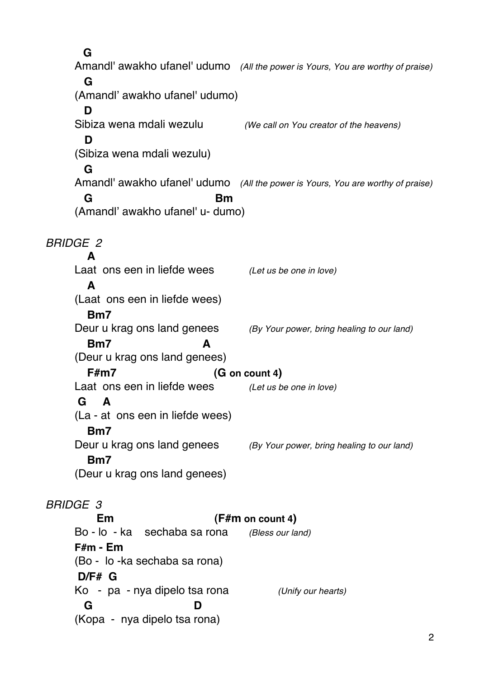**G** Amandl' awakho ufanel' udumo *(All the power is Yours, You are worthy of praise)*   **G** (Amandl' awakho ufanel' udumo)  **D**  Sibiza wena mdali wezulu *(We call on You creator of the heavens)*  **D**  (Sibiza wena mdali wezulu)  **G** Amandl' awakho ufanel' udumo *(All the power is Yours, You are worthy of praise)*  **G** Bm (Amandl' awakho ufanel' u- dumo) *BRIDGE 2*  **A**  Laat ons een in liefde wees *(Let us be one in love)*  **A**  (Laat ons een in liefde wees)  **Bm7** Deur u krag ons land genees *(By Your power, bring healing to our land)*   **Bm7 A**  (Deur u krag ons land genees) **F#m7** (G on count 4) Laat ons een in liefde wees *(Let us be one in love)* **G A**  (La - at ons een in liefde wees)  **Bm7** Deur u krag ons land genees *(By Your power, bring healing to our land)*   **Bm7** (Deur u krag ons land genees) *BRIDGE 3*  **Em (F#m on count 4)** Bo - lo - ka sechaba sa rona *(Bless our land)* **F#m - Em**  (Bo - lo -ka sechaba sa rona) **D/F# G** Ko - pa - nya dipelo tsa rona *(Unify our hearts)*  **G D**

(Kopa - nya dipelo tsa rona)